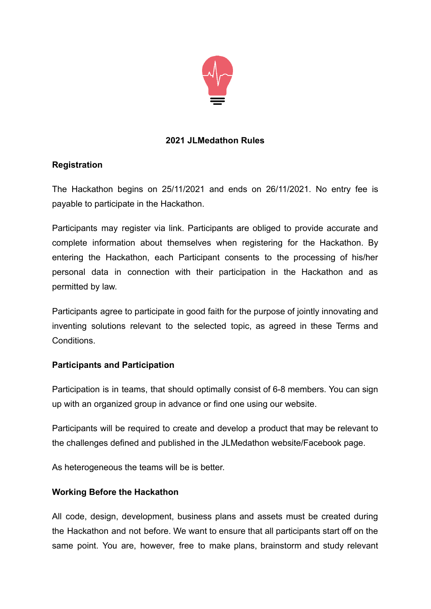

# **2021 JLMedathon Rules**

## **Registration**

The Hackathon begins on 25/11/2021 and ends on 26/11/2021. No entry fee is payable to participate in the Hackathon.

Participants may register via link. Participants are obliged to provide accurate and complete information about themselves when registering for the Hackathon. By entering the Hackathon, each Participant consents to the processing of his/her personal data in connection with their participation in the Hackathon and as permitted by law.

Participants agree to participate in good faith for the purpose of jointly innovating and inventing solutions relevant to the selected topic, as agreed in these Terms and Conditions.

## **Participants and Participation**

Participation is in teams, that should optimally consist of 6-8 members. You can sign up with an organized group in advance or find one using our website.

Participants will be required to create and develop a product that may be relevant to the challenges defined and published in the JLMedathon website/Facebook page.

As heterogeneous the teams will be is better.

## **Working Before the Hackathon**

All code, design, development, business plans and assets must be created during the Hackathon and not before. We want to ensure that all participants start off on the same point. You are, however, free to make plans, brainstorm and study relevant